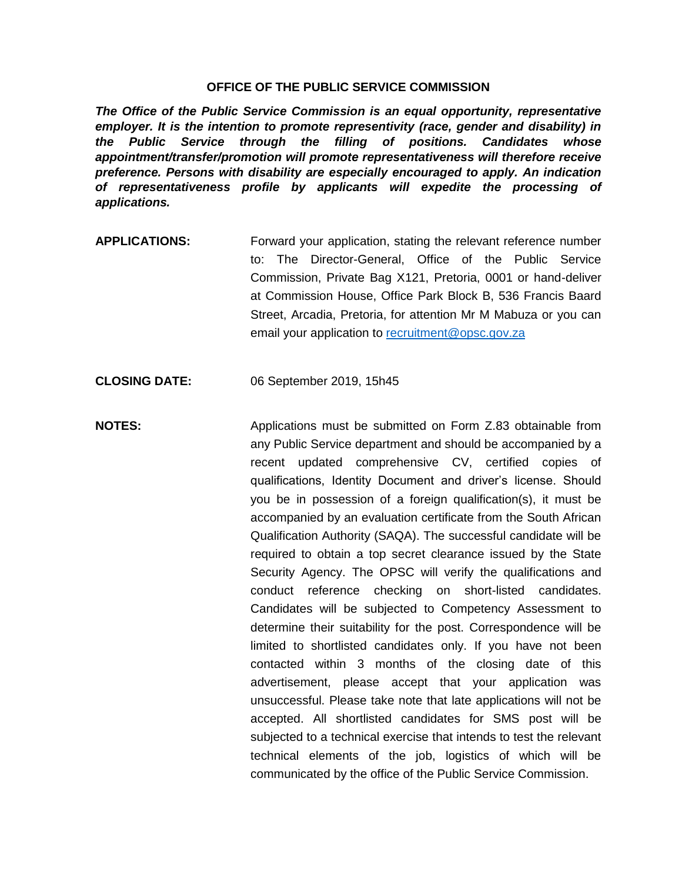## **OFFICE OF THE PUBLIC SERVICE COMMISSION**

*The Office of the Public Service Commission is an equal opportunity, representative employer. It is the intention to promote representivity (race, gender and disability) in the Public Service through the filling of positions. Candidates whose appointment/transfer/promotion will promote representativeness will therefore receive preference. Persons with disability are especially encouraged to apply. An indication of representativeness profile by applicants will expedite the processing of applications.* 

- **APPLICATIONS:** Forward your application, stating the relevant reference number to: The Director-General, Office of the Public Service Commission, Private Bag X121, Pretoria, 0001 or hand-deliver at Commission House, Office Park Block B, 536 Francis Baard Street, Arcadia, Pretoria, for attention Mr M Mabuza or you can email your application to [recruitment@opsc.gov.za](mailto:recruitment@opsc.gov.za)
- **CLOSING DATE:** 06 September 2019, 15h45
- **NOTES:** Applications must be submitted on Form Z.83 obtainable from any Public Service department and should be accompanied by a recent updated comprehensive CV, certified copies of qualifications, Identity Document and driver's license. Should you be in possession of a foreign qualification(s), it must be accompanied by an evaluation certificate from the South African Qualification Authority (SAQA). The successful candidate will be required to obtain a top secret clearance issued by the State Security Agency. The OPSC will verify the qualifications and conduct reference checking on short-listed candidates. Candidates will be subjected to Competency Assessment to determine their suitability for the post. Correspondence will be limited to shortlisted candidates only. If you have not been contacted within 3 months of the closing date of this advertisement, please accept that your application was unsuccessful. Please take note that late applications will not be accepted. All shortlisted candidates for SMS post will be subjected to a technical exercise that intends to test the relevant technical elements of the job, logistics of which will be communicated by the office of the Public Service Commission.